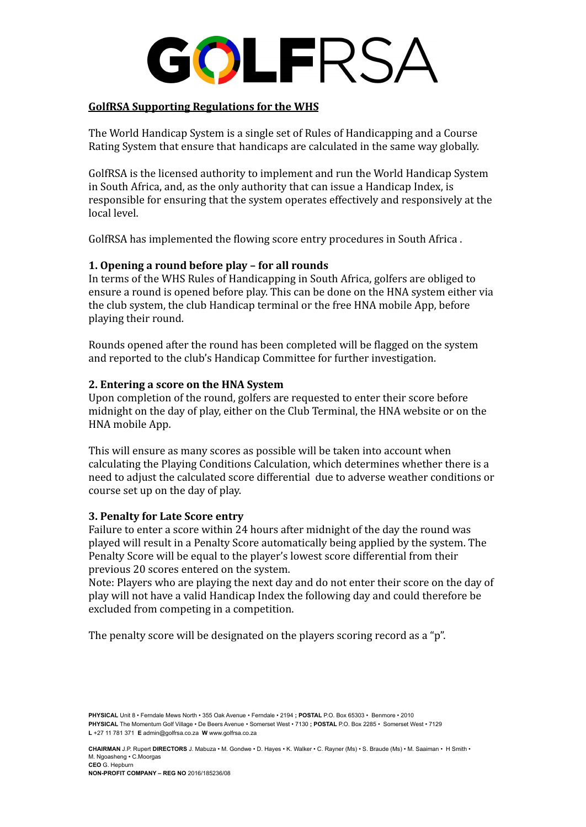

### **GolfRSA Supporting Regulations for the WHS**

The World Handicap System is a single set of Rules of Handicapping and a Course Rating System that ensure that handicaps are calculated in the same way globally.

GolfRSA is the licensed authority to implement and run the World Handicap System in South Africa, and, as the only authority that can issue a Handicap Index, is responsible for ensuring that the system operates effectively and responsively at the local level.

GolfRSA has implemented the flowing score entry procedures in South Africa .

# **1. Opening a round before play – for all rounds**

In terms of the WHS Rules of Handicapping in South Africa, golfers are obliged to ensure a round is opened before play. This can be done on the HNA system either via the club system, the club Handicap terminal or the free HNA mobile App, before playing their round.

Rounds opened after the round has been completed will be flagged on the system and reported to the club's Handicap Committee for further investigation.

## **2. Entering a score on the HNA System**

Upon completion of the round, golfers are requested to enter their score before midnight on the day of play, either on the Club Terminal, the HNA website or on the HNA mobile App.

This will ensure as many scores as possible will be taken into account when calculating the Playing Conditions Calculation, which determines whether there is a need to adjust the calculated score differential due to adverse weather conditions or course set up on the day of play.

# **3. Penalty for Late Score entry**

Failure to enter a score within 24 hours after midnight of the day the round was played will result in a Penalty Score automatically being applied by the system. The Penalty Score will be equal to the player's lowest score differential from their previous 20 scores entered on the system.

Note: Players who are playing the next day and do not enter their score on the day of play will not have a valid Handicap Index the following day and could therefore be excluded from competing in a competition.

The penalty score will be designated on the players scoring record as a "p".

**PHYSICAL** Unit 8 • Ferndale Mews North • 355 Oak Avenue • Ferndale • 2194 **; POSTAL** P.O. Box 65303 • Benmore • 2010 **PHYSICAL** The Momentum Golf Village • De Beers Avenue • Somerset West • 7130 **; POSTAL** P.O. Box 2285 • Somerset West • 7129 **L** +27 11 781 371 **E** admin@golfrsa.co.za **W** www.golfrsa.co.za

**CHAIRMAN** J.P. Rupert **DIRECTORS** J. Mabuza • M. Gondwe • D. Hayes • K. Walker • C. Rayner (Ms) • S. Braude (Ms) • M. Saaiman • H Smith • M. Ngoasheng • C.Moorgas **CEO** G. Hepburn